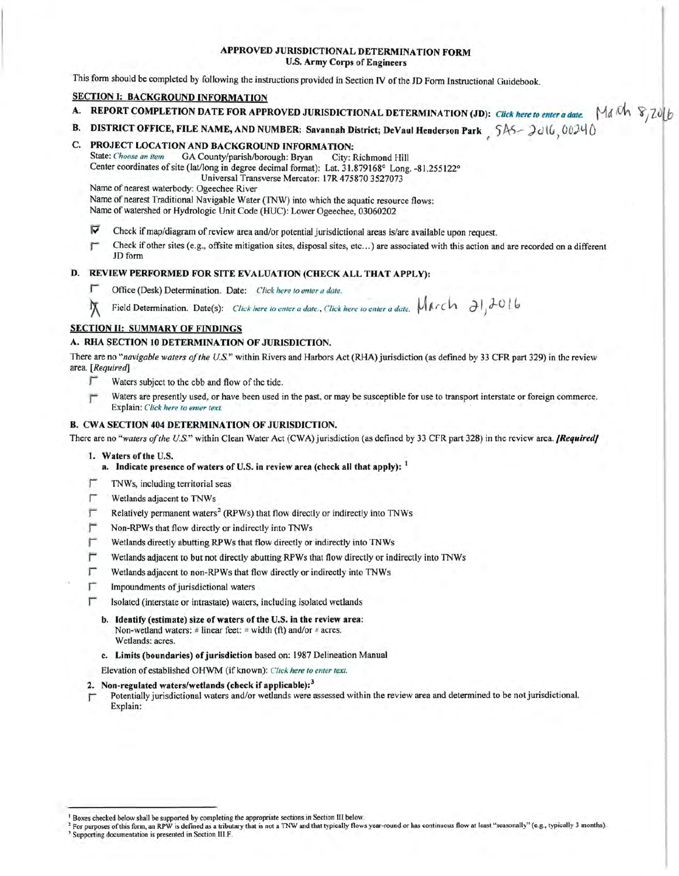# APPROVED JURISDICTIONAL DETERMINATION FORM U.S. Army Corps of Engineers

This form should be completed by following the instructions provided in Section IV of the JD Form Instructional Guidebook.

# SECTION I: BACKGROUND INFORMATION

- A. REPORT COMPLETION DATE FOR APPROVED JURISDICTIONAL DETERMINATION (JD): *Click here to enter a date.* | Ma<sup>kh</sup>  $\partial/\partial x$
- B. DISTRICT OFFICE, FILE NAME, AND NUMBER: Savannah District; DeVaul Henderson Park 5AS-2016, 00240

#### C. PROJECT LOCATION AND BACKGROUND INFORMATION:

State: *Choose an item* GA County/parish/borough: Bryan City: Richmond Hill Center coordinates ofsite (lat/long in degree decimal format): Lat. 31.879168° Long. -81.255122° Universal Transverse Mercator: I 7R 475870 3527073

Name of nearest waterbody: Ogeechee River

Name of nearest Traditional Navigable Water (TNW) into which the aquatic resource flows:

Name of watershed or Hydrologic Unit Code (HUC): Lower Ogeechee, 03060202

- $\triangledown$  Check if map/diagram of review area and/or potential jurisdictional areas is/are available upon request.
- Check if other sites (e.g., offsite mitigation sites, disposal sites, etc...) are associated with this action and are recorded on a different JD form

# D. REVIEW PERFORMED FOR SITE EVALUATION (CHECK ALL THAT APPLY):

- **T** Office (Desk) Determination. Date: *Click here to enter a date.*
- Field Determination. Date(s): *Click here to enter a date.*, *Click here to enter a date.*  $M$ *<i>k*  $r$ *c***h**  $\partial$ *l*<sub>*d*</sub> $\partial$ *lb*

# SECTION II: SUMMARY OF FINDINGS

## A. RHA SECTION IO DETERMINATION OF JURISDICTION.

There are no "navigable waters of the U.S." within Rivers and Harbors Act (RHA) jurisdiction (as defined by 33 CFR part 329) in the review area. *[Required]* 

- $\blacksquare$  Waters subject to the ebb and flow of the tide.
- IJ Waters are presently used, or have been used in the past, or may be susceptible for use to transport interstate or foreign commerce. Explain: *Click here to enter text.*

### B. CWA SECTION 404 DETERMINATION OF JURISDICTION.

There are no "waters of the U.S." within Clean Water Act (CWA) jurisdiction (as defined by 33 CFR part 328) in the review area. *[Required]* 

1. Waters of the U.S.

a. Indicate presence of waters of U.S. in review area (check all that apply):  $<sup>1</sup>$ </sup>

- $\Gamma$  TNWs, including territorial seas
- r Wetlands adjacent to TNWs
- **F** Relatively permanent waters<sup>2</sup> (RPWs) that flow directly or indirectly into TNWs
- $\Gamma$  Non-RPWs that flow directly or indirectly into TNWs
- Wetlands directly abutting RPWs that flow directly or indirectly into TNWs
- $\Gamma$  Wetlands adjacent to but not directly abutting RPWs that flow directly or indirectly into TNWs
- r Wetlands adjacent to non-RPWs that flow directly or indirectly into TNWs
- $\Gamma$  Impoundments of jurisdictional waters
- r Isolated (interstate or intrastate) waters, including isolated wetlands
	- b. Identify (estimate) size of waters of the U.S. in the review area: Non-wetland waters: # linear feet: # width (ft) and/or # acres. Wetlands: acres.
	- c. Limits (boundaries) of jurisdiction based on: 1987 Delineation Manual

Elevation of established OHWM (if known): Click here to enter text.

#### 2. Non-regulated waters/wetlands (check if applicable):<sup>3</sup>

 $\Gamma$  Potentially jurisdictional waters and/or wetlands were assessed within the review area and determined to be not jurisdictional. Explain:

<sup>1</sup> Boxes checked below shall be supported by completing the appropriate sections in Section Ill below.

<sup>&</sup>lt;sup>2</sup> For purposes of this form, an RPW is defined as a tributary that is not a TNW and that typically flows year-round or has continuous flow at least "seasonally" (e.g., typically 3 months). <sup>3</sup> Supporting documentation is presented in Section III.F.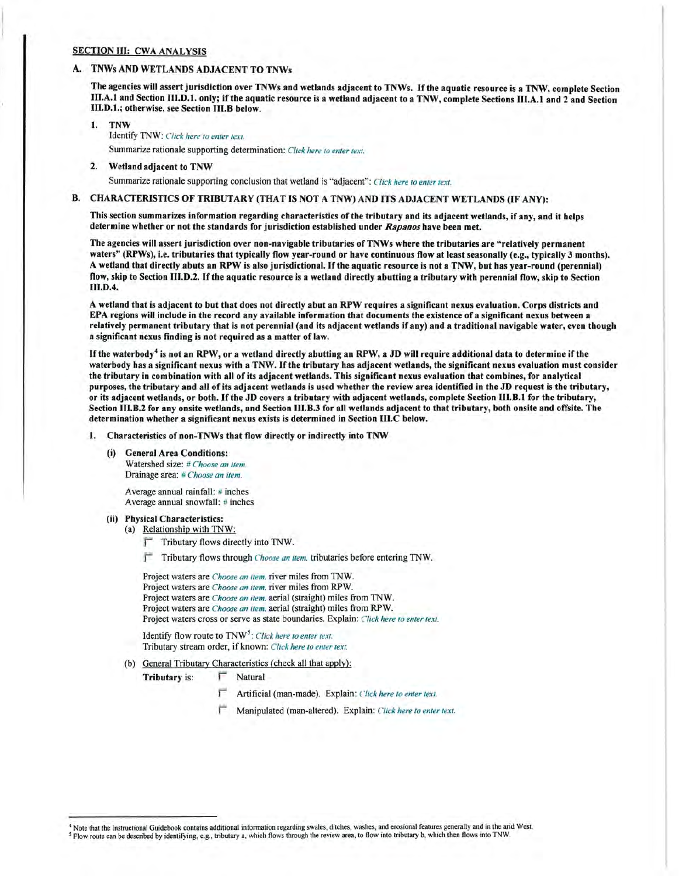# SECTION III: CWA ANALYSIS

## A. TNWs AND WETLANDS ADJACENT TO TNWs

The agencies will assert jurisdiction over TNWs and wetlands adjacent to TNWs. Ifthe aquatic resource is a TNW, complete Section Ill.A.I and Section 111.D.l. only; ifthe aquatic resource is a wetland adjacent to a TNW, complete Sections III.A.I and 2 and Section 111.D.1.; otherwise, see Section 111.B below.

- 1. TNW Identify TNW: *Click here to enter text.* Summarize rationale supporting determination: *Click here to enter text.*
- 2. Wetland adjacent to TNW

Summarize rationale supporting conclusion that wetland is "adjacent": *Click here to enter text.* 

#### B. CHARACTERISTICS OF TRIBUTARY (THAT IS NOT A TNW) AND ITS ADJACENT WETLANDS (IF ANY):

This section summarizes information regarding characteristics ofthe tributary and its adjacent wetlands, if any, and it helps determine whether or not the standards for jurisdiction established under *Rapanos* have been met.

The agencies will assert jurisdiction over non-navigable tributaries of TNWs where the tributaries are "relatively permanent waters" (RPWs}, i.e. tributaries that typically flow year-round or have continuous flow at least seasonally (e.g., typically 3 months). A wetland that directly abuts an RPW is also jurisdictional. Ifthe aquatic resource is not a TNW, but has year-round (perennial) flow, skip to Section III.D.2. If the aquatic resource is a wetland directly abutting a tributary with perennial flow, skip to Section III.D.4.

A wetland that is adjacent to but that does not directly abut an RPW requires a significant nexus evaluation. Corps districts and EPA regions will include in the record any available information that documents the existence of a significant nexus between a relatively permanent tributary that is not perennial (and its adjacent wetlands if any) and a traditional navigable water, even though a significant nexus finding is not required as a matter of law.

If the waterbody<sup>4</sup> is not an RPW, or a wetland directly abutting an RPW, a JD will require additional data to determine if the waterbody has a significant nexus with a TNW. If the tributary has adjacent wetlands, the significant nexus evaluation must consider the tributary in combination with all of its adjacent wetlands. This significant nexus evaluation that combines, for analytical purposes, the tributary and all of its adjacent wetlands is used whether the review area identified in the JD request is the tributary, or its adjacent wetlands, or both. Ifthe JD covers a tributary with adjacent wetlands, complete Section 111.B.1 for the tributary, Section 111.B.2 for any onsite wetlands, and Section 111.B.3 for all wetlands adjacent to that tributary, both onsite and offsite. The determination whether a significant nexus exists is determined in Section 111.C below.

1. Characteristics of non-TNWs that flow directly or indirectly into TNW

(i) General Area Conditions:

Watershed size: *#Choose an item.* Drainage area: # *Choose an item.* 

Average annual rainfall: # inches Average annual snowfall: # inches

## (ii) Physical Characteristics:

(a) Relationship with TNW:

Tributary flows directly into TNW.

:f' Tributary flows through *Choose an item.* tributaries before entering TNW.

Project waters are *Choose an item.* river miles from TNW. Project waters are *Choose an item.* river miles from RPW. Project waters are *Choose an item.* aerial (straight) miles from TNW. Project waters are *Choose an item.* aerial (straight) miles from RPW. Project waters cross or serve as state boundaries. Explain: *Click here to enter text.* 

Identify flow route to TNW<sup>5</sup>: *Click here to enter text.* Tributary stream order, if known: *Click here to emer text.* 

# (b) General Tributary Characteristics (check all that apply):

Tributary is: F Natural

- Artificial (man-made). Explain: *Click here to enter text*.
- Manipulated (man-altered). Explain: *Click here to enter text.*

<sup>4</sup> Note that the Instructional Guidebook contains additional information regarding swales, ditches, washes, and erosional features generally and in the arid West. ' Flow route can be described by identifying, e.g., tributary a, which flows through the review area, to flow into tributary b, which then flows into TNW.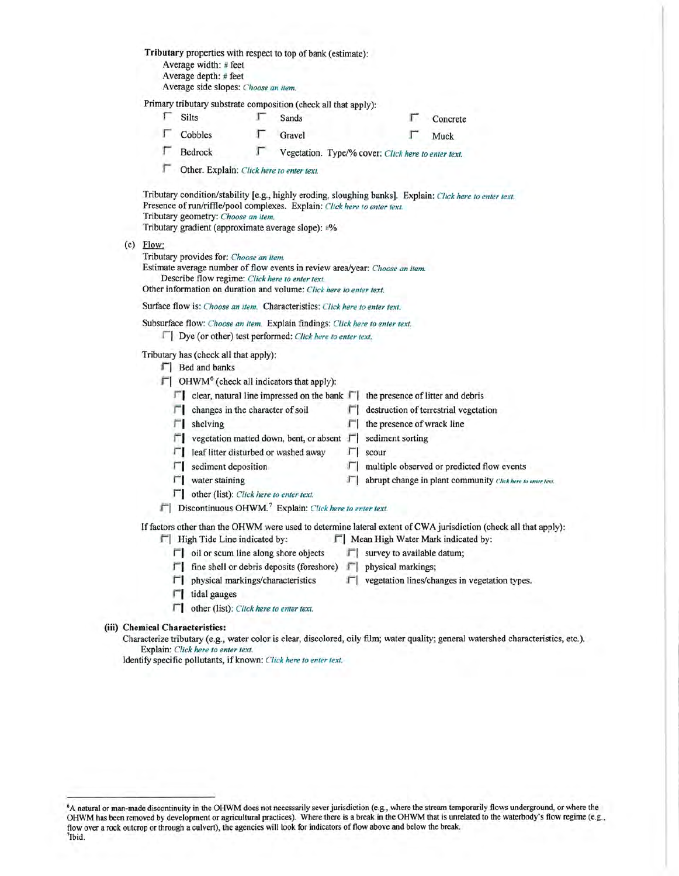|  | Tributary properties with respect to top of bank (estimate):<br>Average width: # feet<br>Average depth: # feet<br>Average side slopes: Choose an item.                                                                                                          |                                                                                                                                                                                                                                                                                     |   |        |     |                                     |                                                            |  |  |  |
|--|-----------------------------------------------------------------------------------------------------------------------------------------------------------------------------------------------------------------------------------------------------------------|-------------------------------------------------------------------------------------------------------------------------------------------------------------------------------------------------------------------------------------------------------------------------------------|---|--------|-----|-------------------------------------|------------------------------------------------------------|--|--|--|
|  | Primary tributary substrate composition (check all that apply):                                                                                                                                                                                                 |                                                                                                                                                                                                                                                                                     |   |        |     |                                     |                                                            |  |  |  |
|  | Γ                                                                                                                                                                                                                                                               | <b>Silts</b>                                                                                                                                                                                                                                                                        | г | Sands  |     | г                                   | Concrete                                                   |  |  |  |
|  |                                                                                                                                                                                                                                                                 | Cobbles                                                                                                                                                                                                                                                                             | Г | Gravel |     |                                     | Muck                                                       |  |  |  |
|  |                                                                                                                                                                                                                                                                 | Г<br>Vegetation. Type/% cover: Click here to enter text.<br>Bedrock                                                                                                                                                                                                                 |   |        |     |                                     |                                                            |  |  |  |
|  | Other. Explain: Click here to enter text.                                                                                                                                                                                                                       |                                                                                                                                                                                                                                                                                     |   |        |     |                                     |                                                            |  |  |  |
|  |                                                                                                                                                                                                                                                                 | Tributary condition/stability [e.g., highly eroding, sloughing banks]. Explain: Click here to enter text.<br>Presence of run/riffle/pool complexes. Explain: Click here to enter text.<br>Tributary geometry: Choose an item.<br>Tributary gradient (approximate average slope): #% |   |        |     |                                     |                                                            |  |  |  |
|  | $(c)$ Flow:<br>Tributary provides for: Choose an item.<br>Estimate average number of flow events in review area/year: Choose an item.<br>Describe flow regime: Click here to enter text.<br>Other information on duration and volume: Click here to enter text. |                                                                                                                                                                                                                                                                                     |   |        |     |                                     |                                                            |  |  |  |
|  | Surface flow is: Choose an item. Characteristics: Click here to enter text.                                                                                                                                                                                     |                                                                                                                                                                                                                                                                                     |   |        |     |                                     |                                                            |  |  |  |
|  | Subsurface flow: Choose an item. Explain findings: Click here to enter text.<br>□ Dye (or other) test performed: Click here to enter text.                                                                                                                      |                                                                                                                                                                                                                                                                                     |   |        |     |                                     |                                                            |  |  |  |
|  | Tributary has (check all that apply):<br>F   Bed and banks                                                                                                                                                                                                      |                                                                                                                                                                                                                                                                                     |   |        |     |                                     |                                                            |  |  |  |
|  | $\Box$ OHWM <sup>6</sup> (check all indicators that apply):                                                                                                                                                                                                     |                                                                                                                                                                                                                                                                                     |   |        |     |                                     |                                                            |  |  |  |
|  |                                                                                                                                                                                                                                                                 | $\Box$ clear, natural line impressed on the bank $\Box$ the presence of litter and debris                                                                                                                                                                                           |   |        |     |                                     |                                                            |  |  |  |
|  |                                                                                                                                                                                                                                                                 | $\Box$ changes in the character of soil                                                                                                                                                                                                                                             |   |        |     |                                     | $\Box$ destruction of terrestrial vegetation               |  |  |  |
|  |                                                                                                                                                                                                                                                                 | $\Box$ shelving                                                                                                                                                                                                                                                                     |   |        | п   | the presence of wrack line          |                                                            |  |  |  |
|  |                                                                                                                                                                                                                                                                 | $\Box$ vegetation matted down, bent, or absent $\Box$                                                                                                                                                                                                                               |   |        |     | sediment sorting                    |                                                            |  |  |  |
|  |                                                                                                                                                                                                                                                                 | $\Box$ leaf litter disturbed or washed away                                                                                                                                                                                                                                         |   |        | FГ. | scour                               |                                                            |  |  |  |
|  |                                                                                                                                                                                                                                                                 | $\Box$ sediment deposition                                                                                                                                                                                                                                                          |   |        |     |                                     | $\Box$ multiple observed or predicted flow events          |  |  |  |
|  |                                                                                                                                                                                                                                                                 | $\Gamma$ water staining                                                                                                                                                                                                                                                             |   |        | л   |                                     | abrupt change in plant community (Tick here to enter text. |  |  |  |
|  | $\Box$ other (list): Click here to enter text.<br>  Discontinuous OHWM. <sup>7</sup> Explain: Click here to enter text.                                                                                                                                         |                                                                                                                                                                                                                                                                                     |   |        |     |                                     |                                                            |  |  |  |
|  | If factors other than the OHWM were used to determine lateral extent of CWA jurisdiction (check all that apply):<br>F   High Tide Line indicated by:<br>F   Mean High Water Mark indicated by:                                                                  |                                                                                                                                                                                                                                                                                     |   |        |     |                                     |                                                            |  |  |  |
|  |                                                                                                                                                                                                                                                                 | $\Box$ oil or scum line along shore objects                                                                                                                                                                                                                                         |   |        |     | $\Gamma$ survey to available datum; |                                                            |  |  |  |
|  |                                                                                                                                                                                                                                                                 | $\Box$ fine shell or debris deposits (foreshore) $\Box$ physical markings;                                                                                                                                                                                                          |   |        |     |                                     |                                                            |  |  |  |
|  |                                                                                                                                                                                                                                                                 | $\Gamma$ physical markings/characteristics                                                                                                                                                                                                                                          |   |        |     |                                     | $\Box$ vegetation lines/changes in vegetation types.       |  |  |  |
|  |                                                                                                                                                                                                                                                                 | tidal gauges                                                                                                                                                                                                                                                                        |   |        |     |                                     |                                                            |  |  |  |
|  |                                                                                                                                                                                                                                                                 |                                                                                                                                                                                                                                                                                     |   |        |     |                                     |                                                            |  |  |  |

#### (iii) Chemical Characteristics:

Characterize tributary (e.g., water color is clear, discolored, oily film; water quality; general watershed characteristics, etc.). Explain: *Click here to enter text.* 

Identify specific pollutants, if known: *Click here to enter text.* 

<sup>&</sup>lt;sup>6</sup>A natural or man-made discontinuity in the OHWM does not necessarily sever jurisdiction (e.g., where the stream temporarily flows underground, or where the OHWM has been removed by development or agricultural practices) 7lbid.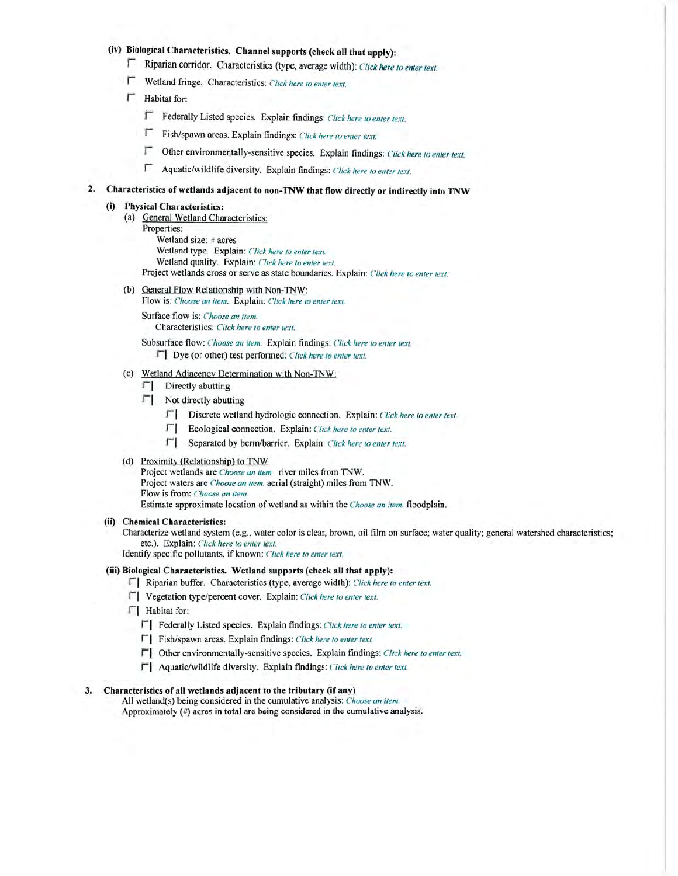# (iv) **Biological Characteristics. Channel supports (check all that apply):**

- *<u>F</u> Riparian corridor. Characteristics (type, average width): Click here to enter text.*
- **r** Wetland fringe. Characteristics: *Click here to emer text.*
- $\Gamma$  Habitat for:
	- F Federally Listed species. Explain findings: *Click here to enter text*.
	- F Fish/spawn areas. Explain findings: *Click here to enter text.*
	- $□$  Other environmentally-sensitive species. Explain findings: *Click here to enter text.*
	- r Aquatic/wildlife diversity. Explain findings: *Click here to enter 1ext.*

# **2. Characteristics of wetlands adjacent to non-TNW that flow directly or indirectly into TNW**

# **(i) Physical Characteristics:**

- (a) General Wetland Characteristics:
	- Properties:

Wetland size: # acres Wetland type. Explain: *Click here to enter text.* 

Wetland quality. Explain: *Click here to enter text.* 

Project wetlands cross or serve as state boundaries. Explain: *Click here to enter text.* 

- (b) General Flow Relationship with Non-TNW:
	- Flow is: *Choose an item.* Explain: *Click here to emer text.*

Surface flow is: *Choose an item.* Characteristics: *Click here* to *enter text.* 

Subsurface flow: *Choose an item.* Explain findings: *Click here to enter text.* 

J I Dye (or other) test performed: *Click here to enter text.* 

- (c) Wetland Adjacency Determination with Non-TNW:
	- $\Gamma$  Directly abutting
	- rj Not directly abutting
		- $\Gamma$  **Discrete wetland hydrologic connection.** Explain: *Click here to enter text.*
		- **F** | Ecological connection. Explain: *Click here to enter text.*
		- r 1 Separated by berm/barrier. Explain: *Click here to enter text.*

### (d) Proximity (Relationship) to TNW

Project wetlands are *Choose an item.* river miles from TNW. Project waters are *C'hoose an item.* aerial (straight) miles from TNW. Flow is from: *Choose an item.* Estimate approximate location of wetland as within the *Choose an item*. floodplain.

#### **(ii) Chemical Characteristics:**

Characterize wetland system (e.g., water color is clear, brown, oil film on surface; water quality; general watershed characteristics; etc.). Explain: *Click here to enter text.* 

Identify specific pollutants, if known: Click here to enter text.

### **(iii) Biological Characteristics. Wetland supports (check all that apply):**

F | Riparian buffer. Characteristics (type, average width): *Click here to enter text.* 

- r 1 Vegetation type/percent cover. Explain: *Click here to enter text.*
- $\Box$  Habitat for:
	- *r* **1 Federally Listed species. Explain findings:** *Click here to enter text***.**
	- **r 1** Fish/spawn areas. Explain findings: *Click here to enter text.*
	- $\Gamma$  Other environmentally-sensitive species. Explain findings: *Click here to enter text.*
	- $\Gamma$  Aquatic/wildlife diversity. Explain findings: *Click here to enter text.*

#### **3. Characteristics of all wetlands adjacent to the tributary (if any)**

All wetland(s) being considered in the cumulative analysis: *Choose an item.* Approximately  $(*)$  acres in total are being considered in the cumulative analysis.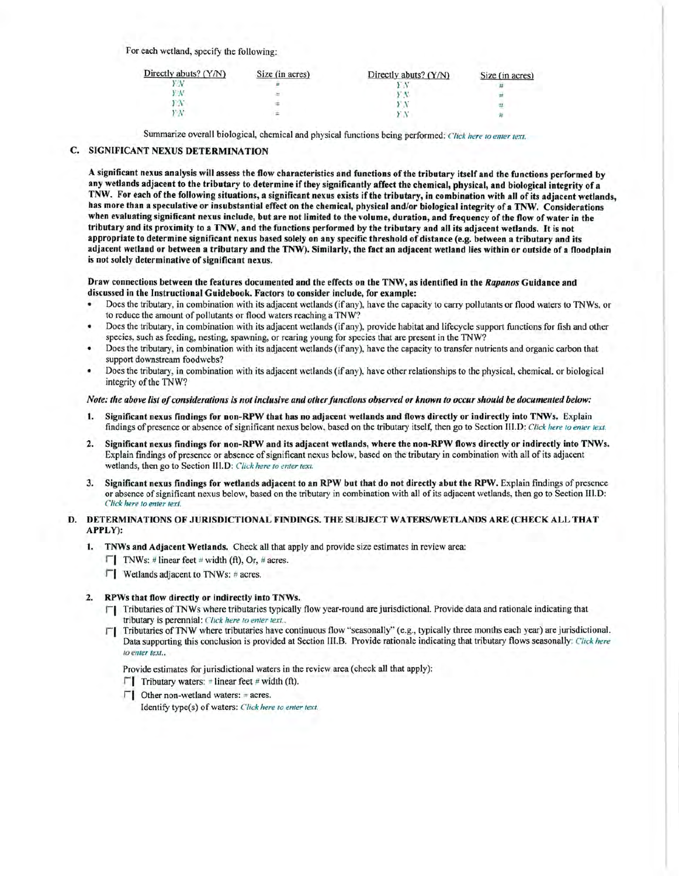For each wetland, specify the following:

| Directly abuts? (Y/N) | Size (in acres) | Directly abuts? (Y/N) | Size (in acres) |
|-----------------------|-----------------|-----------------------|-----------------|
|                       |                 |                       |                 |
|                       |                 |                       |                 |
|                       |                 |                       |                 |
|                       |                 |                       |                 |

Summarize overall biological, chemical and physical functions being performed: *Click here to enter text*.

# C. SIGNIFICANT NEXUS DETERMINATION

A significant nexus analysis will assess the flow characteristics and functions of the tributary itself and the functions performed by any wetlands adjacent to the tributary to determine if they significantly affect the chemical, physical, and biological integrity of a TNW. For each of the following situations, a significant nexus exists ifthe tributary, in combination with all of its adjacent wetlands, has more than a speculative or insubstantial effect on the chemical, physical and/or biological integrity of a TNW. Considerations when evaluating significant nexus include, but are not limited to the volume, duration, and frequency of the flow ofwater in the tributary and its proximity to a TNW, and the functions performed by the tributary and all its adjacent wetlands. It is not appropriate to determine significant nexus based solely on any specific threshold of distance (e.g. between a tributary and its adjacent wetland or between a tributary and the TNW). Similarly, the fact an adjacent wetland lies within or outside of a floodplain is not solely determinative of significant nexus.

Draw connections between the features documented and the effects on the TNW, as identified in the *Rapanos* Guidance and discussed in the Instructional Guidebook. Factors to consider include, for example:

- Does the tributary, in combination with its adjacent wetlands (if any), have the capacity to carry pollutants or flood waters to TNWs, or to reduce the amount of pollutants or flood waters reaching a TNW?
- Does the tributary, in combination with its adjacent wetlands (if any), provide habitat and lifecycle support functions for fish and other species, such as feeding, nesting, spawning, or rearing young for species that are present in the TNW?
- Does the tributary, in combination with its adjacent wetlands (if any), have the capacity to transfer nutrients and organic carbon that support downstream foodwebs?
- Does the tributary, in combination with its adjacent wetlands (if any), have other relationships to the physical, chemical, or biological integrity of the TNW?

#### *Note: the above list of considerations is not inclusive and other functions observed or known to occur should be documented below:*

- 1. Significant nexus findings for non-RPW that has no adjacent wetlands and flows directly or indirectly into TNWs. Explain findings of presence or absence of significant nexus below, based on the tributary itself, then go to Section III.D: *Click here to enter text*.
- 2. Significant nexus findings for non-RPW and its adjacent wetlands, where the non-RPW flows directly or indirectly into TNWs. Explain findings of presence or absence of significant nexus below, based on the tributary in combination with all of its adjacent wetlands, then go to Section 111.D: *Click here* to *enter text.*
- 3. Significant nexus findings for wetlands adjacent to an RPW but that do not directly abut the RPW. Explain findings of presence or absence of significant nexus below, based on the tributary in combination with all of its adjacent wetlands, then go to Section III.D: *Click here to enter text.*

#### D. DETERMINATIONS OF JURISDICTIONAL FINDINGS. THE SUBJECT WATERS/WETLANDS ARE (CHECK ALL THAT APPLY):

- 1. TNWs and Adjacent Wetlands. Check all that apply and provide size estimates in review area:
	- $\Box$  TNWs: # linear feet # width (ft), Or, # acres.
	- $\Box$  Wetlands adjacent to TNWs: # acres.

#### 2. RPWs that flow directly or indirectly into TNWs.

- $\Box$  Tributaries of TNWs where tributaries typically flow year-round are jurisdictional. Provide data and rationale indicating that tributary is perennial: *Click here to enter text..*
- Tributaries of TNW where tributaries have continuous flow "seasonally" (e.g., typically three months each year) are jurisdictional. Data supporting this conclusion is provided at Section III.B. Provide rationale indicating that tributary flows seasonally: *Click here*  to enter text..

Provide estimates for jurisdictional waters in the review area (check all that apply):

- $\Gamma$  1 Tributary waters:  $\pm$  linear feet # width (ft).
- $\Gamma$ 1 Other non-wetland waters: = acres.

Identify type(s) of waters: *Click here to enter text.*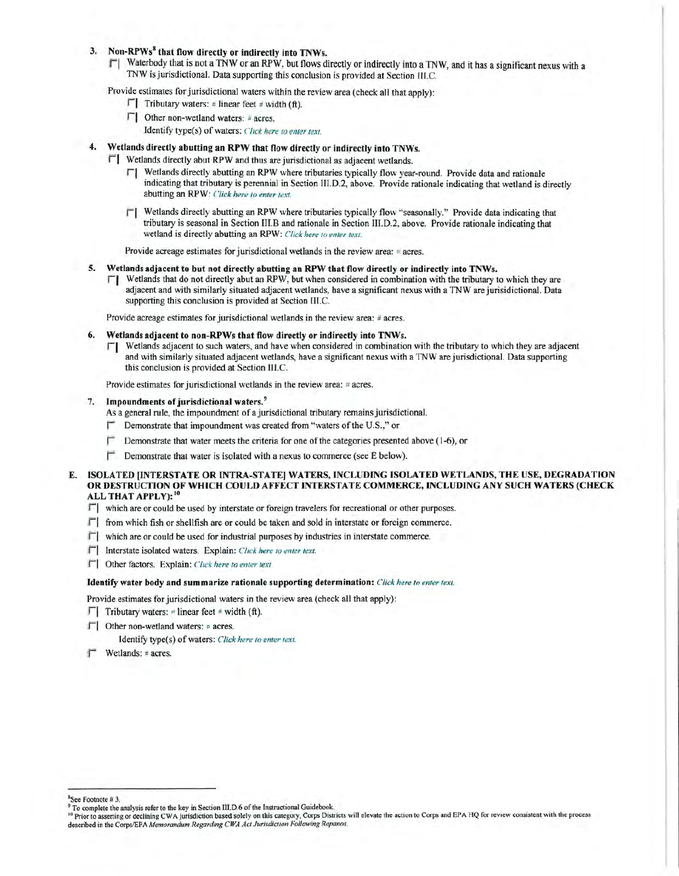# 3. Non-RPWs<sup>8</sup> that flow directly or indirectly into TNWs.

 $\Box$  Waterbody that is not a TNW or an RPW, but flows directly or indirectly into a TNW, and it has a significant nexus with a TNW is jurisdictional. Data supporting this conclusion is provided at Section IJI.C.

Provide estimates for jurisdictional waters within the review area (check all that apply):

- **T** Tributary waters:  $\neq$  linear feet  $\neq$  width (ft).
- r 1 Other non-wetland waters: *ii* acres.

Identify type(s) of waters: *Click here to enter text.* 

- Wetlands directly abutting an RPW that flow directly or indirectly into TNWs.
	- Fl Wetlands directly abut RPW and thus are jurisdictional as adjacent wetlands.
		- r 1 Wetlands directly abutting an RPW where tributaries typically flow year-round. Provide data and rationale indicating that tributary is perennial in Section III.D.2, above. Provide rationale indicating that wetland is directly abutting an RPW: *Click here to enter text.*
		- r'I Wetlands directly abutting an RPW where tributaries typically flow "seasonally." Provide data indicating that tributary is seasonal in Section III.Band rationale in Section III.D.2, above. Provide rationale indicating that wetland is directly abutting an RPW: *Click here to enter text.*

Provide acreage estimates for jurisdictional wetlands in the review area:  $\pm$  acres.

#### 5. Wetlands adjacent to but not directly abutting an RPW that flow directly or indirectly into TNWs.

 $\Box$  Wetlands that do not directly abut an RPW, but when considered in combination with the tributary to which they are adjacent and with similarly situated adjacent wetlands, have a significant nexus with a TNW are jurisidictional. Data supporting this conclusion is provided at Section III.C.

Provide acreage estimates for jurisdictional wetlands in the review area: # acres.

- 6. Wetlands adjacent to non-RPWs that flow directly or indirectly into TNWs.
	- $\Gamma$  Wetlands adjacent to such waters, and have when considered in combination with the tributary to which they are adiacent and with similarly situated adjacent wetlands, have a significant nexus with a TNW are jurisdictional. Data supporting this conclusion is provided at Section III.C.

Provide estimates for jurisdictional wetlands in the review area:  $\neq$  acres.

# 7. Impoundments of jurisdictional waters.<sup>9</sup>

- As a general rule, the impoundment of a jurisdictional tributary remains jurisdictional.
- Demonstrate that impoundment was created from "waters of the U.S.," or
- $\Box$  Demonstrate that water meets the criteria for one of the categories presented above (1-6), or
- $\Gamma$  Demonstrate that water is isolated with a nexus to commerce (see E below).
- E. ISOLATED [INTERSTATE OR INTRA-STATE] WATERS, INCLUDING ISOLATED WETLANDS, THE USE, DEGRADATION OR DESTRUCTION OF WHICH COULD AFFECT INTERSTATE COMMERCE, INCLUDING ANY SUCH WATERS (CHECK ALL THAT APPLY):<sup>10</sup>
	- $\lceil \cdot \rceil$  which are or could be used by interstate or foreign travelers for recreational or other purposes.
	- $\Box$  from which fish or shellfish are or could be taken and sold in interstate or foreign commerce.
	- $\Box$  which are or could be used for industrial purposes by industries in interstate commerce.
	- f'I Interstate isolated waters. Explain: *Click here to enter text.*
	- $\Box$  Other factors. Explain: *Click here to enter text*

# Identify water body and summarize rationale supporting determination: *Click here to enter text.*

- Provide estimates for jurisdictional waters in the review area (check all that apply):
- $\lceil \cdot \rceil$  Tributary waters: = linear feet # width (ft).
- $\Gamma$  Other non-wetland waters: = acres.
	- Identify type(s) of waters: Click here to enter text.
- Wetlands: # acres.

<sup>&</sup>lt;sup>8</sup>See Footnote # 3. 9  $\degree$  3. 9 To complete the key in Section III.D.6 of the Instructional Guidebook.

<sup>&</sup>lt;sup>10</sup> Prior to asserting or declining CWA jurisdiction based solely on this category, Corps Districts will elevate the action to Corps and EPA HQ for review consistent with the process described in the Corps/EPA Memorandum Regarding CWA Act Jurisdiction Following Rapanos.